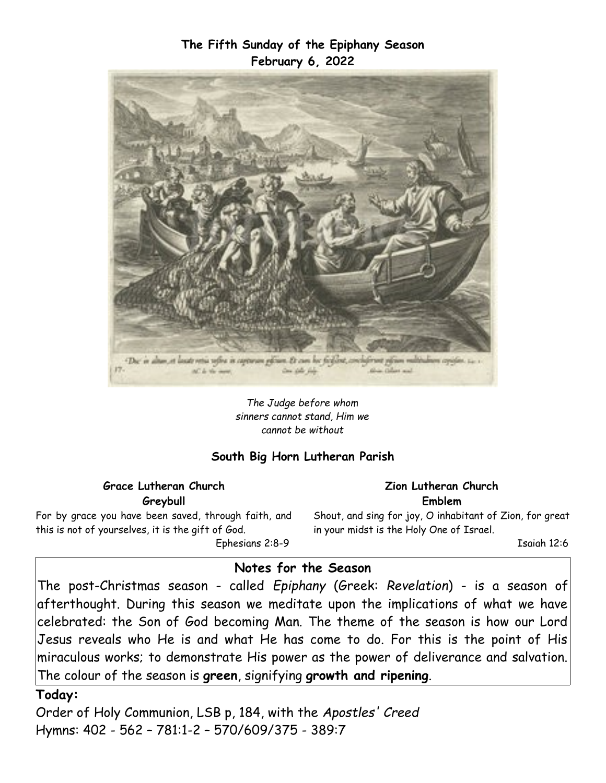### **The Fifth Sunday of the Epiphany Season February 6, 2022**



*The Judge before whom sinners cannot stand, Him we cannot be without*

### **South Big Horn Lutheran Parish**

#### **Grace Lutheran Church Greybull**

For by grace you have been saved, through faith, and this is not of yourselves, it is the gift of God. Ephesians 2:8-9

#### **Zion Lutheran Church Emblem**

Shout, and sing for joy, O inhabitant of Zion, for great in your midst is the Holy One of Israel.

Isaiah 12:6

### **Notes for the Season**

The post-Christmas season - called *Epiphany* (Greek: *Revelation*) - is a season of afterthought. During this season we meditate upon the implications of what we have celebrated: the Son of God becoming Man. The theme of the season is how our Lord Jesus reveals who He is and what He has come to do. For this is the point of His miraculous works; to demonstrate His power as the power of deliverance and salvation. The colour of the season is **green**, signifying **growth and ripening**.

**Today:**

Order of Holy Communion, LSB p, 184, with the *Apostles' Creed* Hymns: 402 - 562 – 781:1-2 – 570/609/375 - 389:7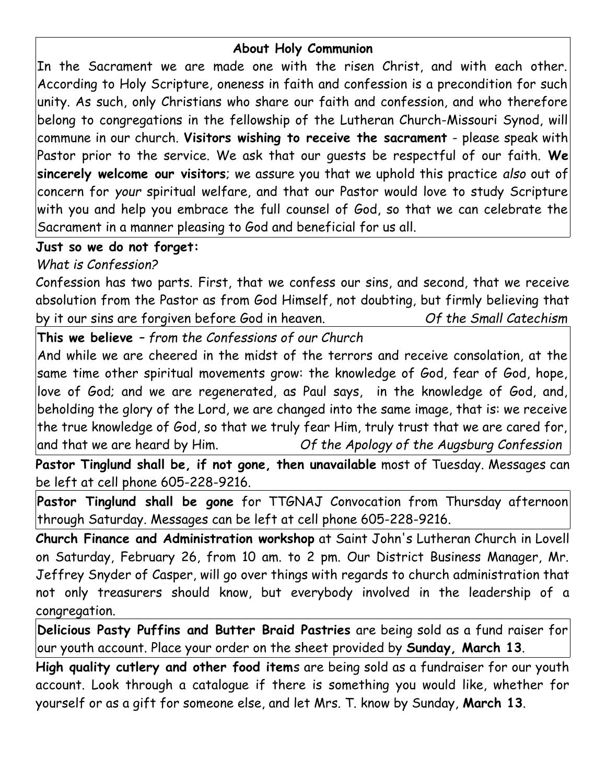## **About Holy Communion**

In the Sacrament we are made one with the risen Christ, and with each other. According to Holy Scripture, oneness in faith and confession is a precondition for such unity. As such, only Christians who share our faith and confession, and who therefore belong to congregations in the fellowship of the Lutheran Church-Missouri Synod, will commune in our church. **Visitors wishing to receive the sacrament** - please speak with Pastor prior to the service. We ask that our guests be respectful of our faith. **We sincerely welcome our visitors**; we assure you that we uphold this practice *also* out of concern for *your* spiritual welfare, and that our Pastor would love to study Scripture with you and help you embrace the full counsel of God, so that we can celebrate the Sacrament in a manner pleasing to God and beneficial for us all.

# **Just so we do not forget:**

*What is Confession?*

Confession has two parts. First, that we confess our sins, and second, that we receive absolution from the Pastor as from God Himself, not doubting, but firmly believing that by it our sins are forgiven before God in heaven. *Of the Small Catechism*

**This we believe** *– from the Confessions of our Church*

And while we are cheered in the midst of the terrors and receive consolation, at the same time other spiritual movements grow: the knowledge of God, fear of God, hope, love of God; and we are regenerated, as Paul says, in the knowledge of God, and, beholding the glory of the Lord, we are changed into the same image, that is: we receive the true knowledge of God, so that we truly fear Him, truly trust that we are cared for, and that we are heard by Him. *Of the Apology of the Augsburg Confession*

**Pastor Tinglund shall be, if not gone, then unavailable** most of Tuesday. Messages can be left at cell phone 605-228-9216.

**Pastor Tinglund shall be gone** for TTGNAJ Convocation from Thursday afternoon through Saturday. Messages can be left at cell phone 605-228-9216.

**Church Finance and Administration workshop** at Saint John's Lutheran Church in Lovell on Saturday, February 26, from 10 am. to 2 pm. Our District Business Manager, Mr. Jeffrey Snyder of Casper, will go over things with regards to church administration that not only treasurers should know, but everybody involved in the leadership of a congregation.

**Delicious Pasty Puffins and Butter Braid Pastries** are being sold as a fund raiser for our youth account. Place your order on the sheet provided by **Sunday, March 13**.

**High quality cutlery and other food item**s are being sold as a fundraiser for our youth account. Look through a catalogue if there is something you would like, whether for yourself or as a gift for someone else, and let Mrs. T. know by Sunday, **March 13**.